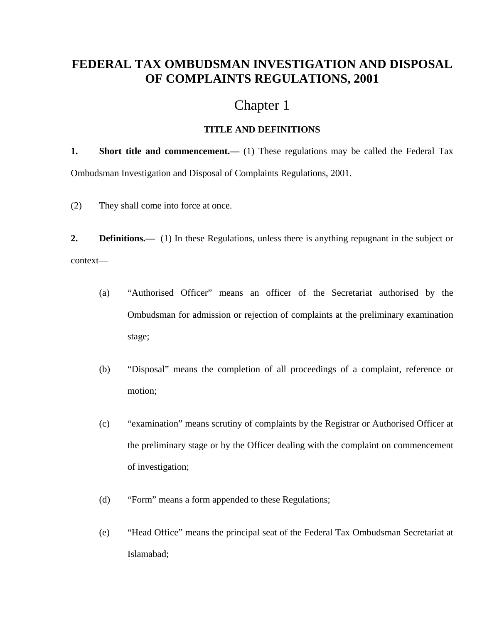# **FEDERAL TAX OMBUDSMAN INVESTIGATION AND DISPOSAL OF COMPLAINTS REGULATIONS, 2001**

# Chapter 1

## **TITLE AND DEFINITIONS**

**1.** Short title and commencement.— (1) These regulations may be called the Federal Tax Ombudsman Investigation and Disposal of Complaints Regulations, 2001.

(2) They shall come into force at once.

**2. Definitions.**—— (1) In these Regulations, unless there is anything repugnant in the subject or context—

- (a) "Authorised Officer" means an officer of the Secretariat authorised by the Ombudsman for admission or rejection of complaints at the preliminary examination stage;
- (b) "Disposal" means the completion of all proceedings of a complaint, reference or motion;
- (c) "examination" means scrutiny of complaints by the Registrar or Authorised Officer at the preliminary stage or by the Officer dealing with the complaint on commencement of investigation;
- (d) "Form" means a form appended to these Regulations;
- (e) "Head Office" means the principal seat of the Federal Tax Ombudsman Secretariat at Islamabad;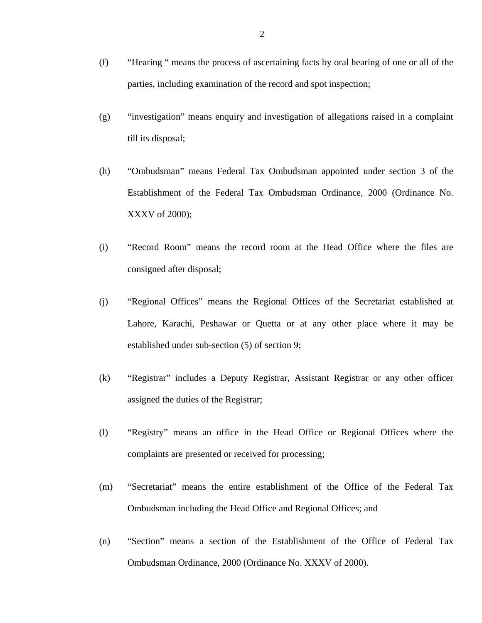- (f) "Hearing " means the process of ascertaining facts by oral hearing of one or all of the parties, including examination of the record and spot inspection;
- (g) "investigation" means enquiry and investigation of allegations raised in a complaint till its disposal;
- (h) "Ombudsman" means Federal Tax Ombudsman appointed under section 3 of the Establishment of the Federal Tax Ombudsman Ordinance, 2000 (Ordinance No. XXXV of 2000);
- (i) "Record Room" means the record room at the Head Office where the files are consigned after disposal;
- (j) "Regional Offices" means the Regional Offices of the Secretariat established at Lahore, Karachi, Peshawar or Quetta or at any other place where it may be established under sub-section (5) of section 9;
- (k) "Registrar" includes a Deputy Registrar, Assistant Registrar or any other officer assigned the duties of the Registrar;
- (l) "Registry" means an office in the Head Office or Regional Offices where the complaints are presented or received for processing;
- (m) "Secretariat" means the entire establishment of the Office of the Federal Tax Ombudsman including the Head Office and Regional Offices; and
- (n) "Section" means a section of the Establishment of the Office of Federal Tax Ombudsman Ordinance, 2000 (Ordinance No. XXXV of 2000).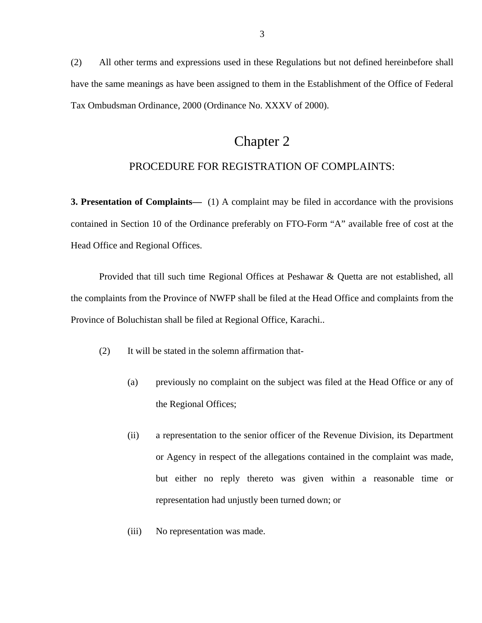(2) All other terms and expressions used in these Regulations but not defined hereinbefore shall have the same meanings as have been assigned to them in the Establishment of the Office of Federal Tax Ombudsman Ordinance, 2000 (Ordinance No. XXXV of 2000).

## Chapter 2

### PROCEDURE FOR REGISTRATION OF COMPLAINTS:

**3. Presentation of Complaints—** (1) A complaint may be filed in accordance with the provisions contained in Section 10 of the Ordinance preferably on FTO-Form "A" available free of cost at the Head Office and Regional Offices.

Provided that till such time Regional Offices at Peshawar & Quetta are not established, all the complaints from the Province of NWFP shall be filed at the Head Office and complaints from the Province of Boluchistan shall be filed at Regional Office, Karachi..

- (2) It will be stated in the solemn affirmation that-
	- (a) previously no complaint on the subject was filed at the Head Office or any of the Regional Offices;
	- (ii) a representation to the senior officer of the Revenue Division, its Department or Agency in respect of the allegations contained in the complaint was made, but either no reply thereto was given within a reasonable time or representation had unjustly been turned down; or
	- (iii) No representation was made.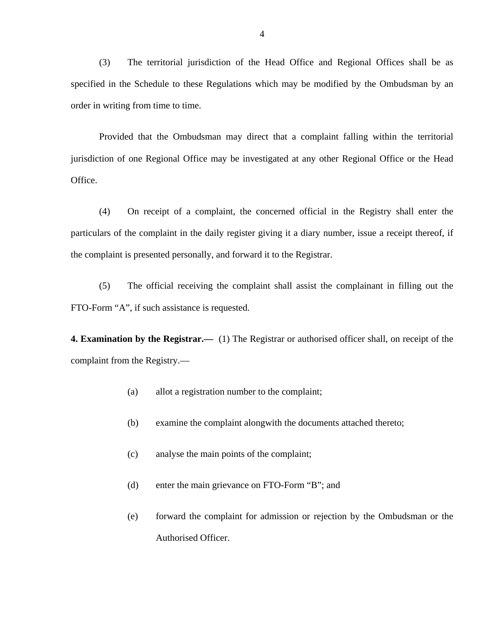(3) The territorial jurisdiction of the Head Office and Regional Offices shall be as specified in the Schedule to these Regulations which may be modified by the Ombudsman by an order in writing from time to time.

Provided that the Ombudsman may direct that a complaint falling within the territorial jurisdiction of one Regional Office may be investigated at any other Regional Office or the Head Office.

(4) On receipt of a complaint, the concerned official in the Registry shall enter the particulars of the complaint in the daily register giving it a diary number, issue a receipt thereof, if the complaint is presented personally, and forward it to the Registrar.

(5) The official receiving the complaint shall assist the complainant in filling out the FTO-Form "A", if such assistance is requested.

**4. Examination by the Registrar.—** (1) The Registrar or authorised officer shall, on receipt of the complaint from the Registry.—

- (a) allot a registration number to the complaint;
- (b) examine the complaint alongwith the documents attached thereto;
- (c) analyse the main points of the complaint;
- (d) enter the main grievance on FTO-Form "B"; and
- (e) forward the complaint for admission or rejection by the Ombudsman or the Authorised Officer.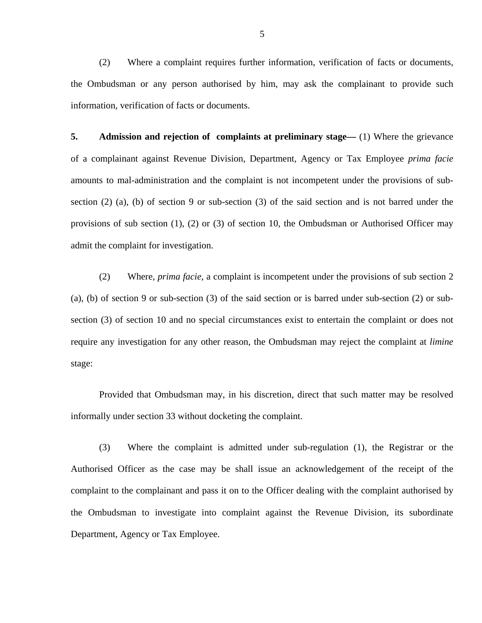(2) Where a complaint requires further information, verification of facts or documents, the Ombudsman or any person authorised by him, may ask the complainant to provide such information, verification of facts or documents.

**5. Admission and rejection of complaints at preliminary stage—** (1) Where the grievance of a complainant against Revenue Division, Department, Agency or Tax Employee *prima facie* amounts to mal-administration and the complaint is not incompetent under the provisions of subsection (2) (a), (b) of section 9 or sub-section (3) of the said section and is not barred under the provisions of sub section (1), (2) or (3) of section 10, the Ombudsman or Authorised Officer may admit the complaint for investigation.

(2) Where, *prima facie*, a complaint is incompetent under the provisions of sub section 2 (a), (b) of section 9 or sub-section (3) of the said section or is barred under sub-section (2) or subsection (3) of section 10 and no special circumstances exist to entertain the complaint or does not require any investigation for any other reason, the Ombudsman may reject the complaint at *limine*  stage:

 Provided that Ombudsman may, in his discretion, direct that such matter may be resolved informally under section 33 without docketing the complaint.

(3) Where the complaint is admitted under sub-regulation (1), the Registrar or the Authorised Officer as the case may be shall issue an acknowledgement of the receipt of the complaint to the complainant and pass it on to the Officer dealing with the complaint authorised by the Ombudsman to investigate into complaint against the Revenue Division, its subordinate Department, Agency or Tax Employee.

5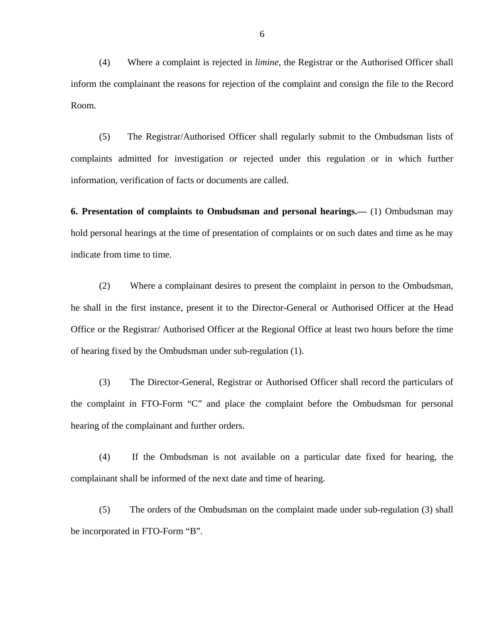(4) Where a complaint is rejected in *limine*, the Registrar or the Authorised Officer shall inform the complainant the reasons for rejection of the complaint and consign the file to the Record Room.

(5) The Registrar/Authorised Officer shall regularly submit to the Ombudsman lists of complaints admitted for investigation or rejected under this regulation or in which further information, verification of facts or documents are called.

**6. Presentation of complaints to Ombudsman and personal hearings.—** (1) Ombudsman may hold personal hearings at the time of presentation of complaints or on such dates and time as he may indicate from time to time.

(2) Where a complainant desires to present the complaint in person to the Ombudsman, he shall in the first instance, present it to the Director-General or Authorised Officer at the Head Office or the Registrar/ Authorised Officer at the Regional Office at least two hours before the time of hearing fixed by the Ombudsman under sub-regulation (1).

(3) The Director-General, Registrar or Authorised Officer shall record the particulars of the complaint in FTO-Form "C" and place the complaint before the Ombudsman for personal hearing of the complainant and further orders.

(4) If the Ombudsman is not available on a particular date fixed for hearing, the complainant shall be informed of the next date and time of hearing.

(5) The orders of the Ombudsman on the complaint made under sub-regulation (3) shall be incorporated in FTO-Form "B".

6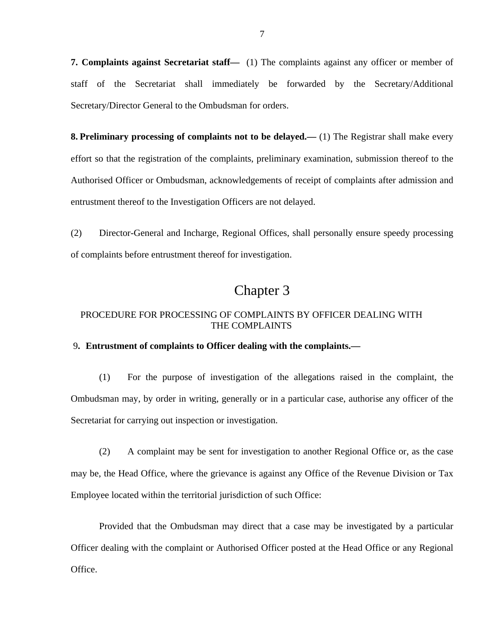**7. Complaints against Secretariat staff—** (1) The complaints against any officer or member of staff of the Secretariat shall immediately be forwarded by the Secretary/Additional Secretary/Director General to the Ombudsman for orders.

**8. Preliminary processing of complaints not to be delayed.—** (1) The Registrar shall make every effort so that the registration of the complaints, preliminary examination, submission thereof to the Authorised Officer or Ombudsman, acknowledgements of receipt of complaints after admission and entrustment thereof to the Investigation Officers are not delayed.

(2) Director-General and Incharge, Regional Offices, shall personally ensure speedy processing of complaints before entrustment thereof for investigation.

## Chapter 3

### PROCEDURE FOR PROCESSING OF COMPLAINTS BY OFFICER DEALING WITH THE COMPLAINTS

#### 9**. Entrustment of complaints to Officer dealing with the complaints.—**

(1) For the purpose of investigation of the allegations raised in the complaint, the Ombudsman may, by order in writing, generally or in a particular case, authorise any officer of the Secretariat for carrying out inspection or investigation.

(2) A complaint may be sent for investigation to another Regional Office or, as the case may be, the Head Office, where the grievance is against any Office of the Revenue Division or Tax Employee located within the territorial jurisdiction of such Office:

 Provided that the Ombudsman may direct that a case may be investigated by a particular Officer dealing with the complaint or Authorised Officer posted at the Head Office or any Regional Office.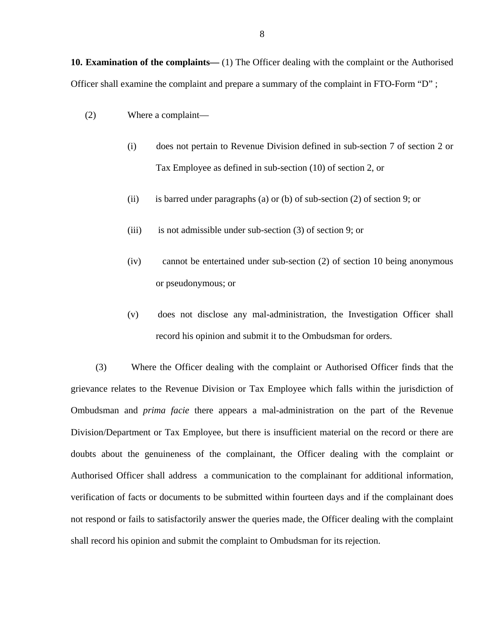**10. Examination of the complaints—** (1) The Officer dealing with the complaint or the Authorised Officer shall examine the complaint and prepare a summary of the complaint in FTO-Form "D" ;

- (2) Where a complaint—
	- (i) does not pertain to Revenue Division defined in sub-section 7 of section 2 or Tax Employee as defined in sub-section (10) of section 2, or
	- (ii) is barred under paragraphs (a) or (b) of sub-section (2) of section 9; or
	- (iii) is not admissible under sub-section (3) of section 9; or
	- (iv) cannot be entertained under sub-section (2) of section 10 being anonymous or pseudonymous; or
	- (v) does not disclose any mal-administration, the Investigation Officer shall record his opinion and submit it to the Ombudsman for orders.

(3) Where the Officer dealing with the complaint or Authorised Officer finds that the grievance relates to the Revenue Division or Tax Employee which falls within the jurisdiction of Ombudsman and *prima facie* there appears a mal-administration on the part of the Revenue Division/Department or Tax Employee, but there is insufficient material on the record or there are doubts about the genuineness of the complainant, the Officer dealing with the complaint or Authorised Officer shall address a communication to the complainant for additional information, verification of facts or documents to be submitted within fourteen days and if the complainant does not respond or fails to satisfactorily answer the queries made, the Officer dealing with the complaint shall record his opinion and submit the complaint to Ombudsman for its rejection.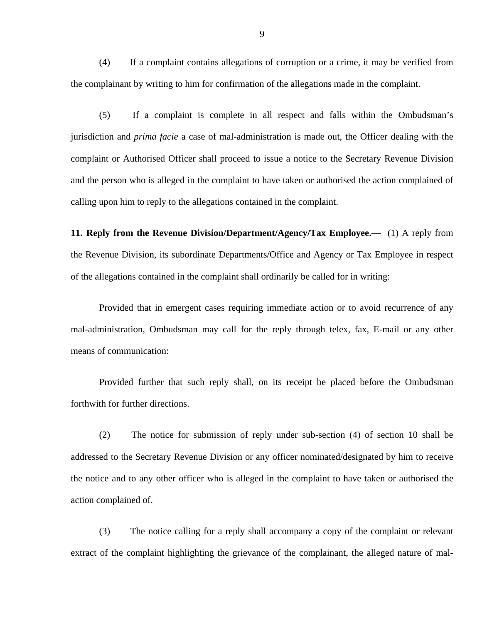(4) If a complaint contains allegations of corruption or a crime, it may be verified from the complainant by writing to him for confirmation of the allegations made in the complaint.

(5) If a complaint is complete in all respect and falls within the Ombudsman's jurisdiction and *prima facie* a case of mal-administration is made out, the Officer dealing with the complaint or Authorised Officer shall proceed to issue a notice to the Secretary Revenue Division and the person who is alleged in the complaint to have taken or authorised the action complained of calling upon him to reply to the allegations contained in the complaint.

**11. Reply from the Revenue Division/Department/Agency/Tax Employee.—** (1) A reply from the Revenue Division, its subordinate Departments/Office and Agency or Tax Employee in respect of the allegations contained in the complaint shall ordinarily be called for in writing:

Provided that in emergent cases requiring immediate action or to avoid recurrence of any mal-administration, Ombudsman may call for the reply through telex, fax, E-mail or any other means of communication:

Provided further that such reply shall, on its receipt be placed before the Ombudsman forthwith for further directions.

(2) The notice for submission of reply under sub-section (4) of section 10 shall be addressed to the Secretary Revenue Division or any officer nominated/designated by him to receive the notice and to any other officer who is alleged in the complaint to have taken or authorised the action complained of.

(3) The notice calling for a reply shall accompany a copy of the complaint or relevant extract of the complaint highlighting the grievance of the complainant, the alleged nature of mal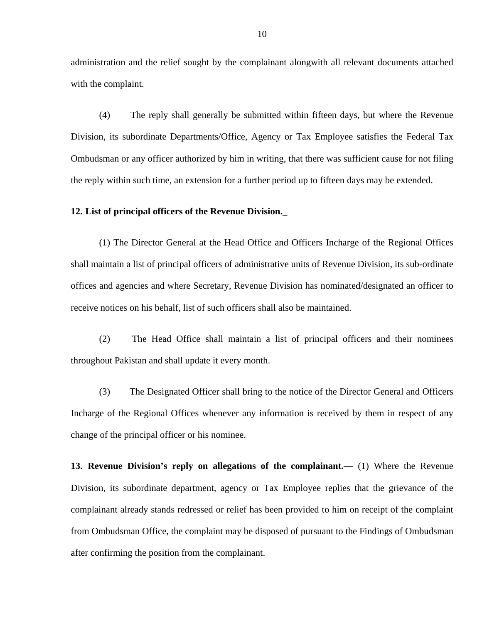administration and the relief sought by the complainant alongwith all relevant documents attached with the complaint.

(4) The reply shall generally be submitted within fifteen days, but where the Revenue Division, its subordinate Departments/Office, Agency or Tax Employee satisfies the Federal Tax Ombudsman or any officer authorized by him in writing, that there was sufficient cause for not filing the reply within such time, an extension for a further period up to fifteen days may be extended.

#### **12. List of principal officers of the Revenue Division.**\_

(1) The Director General at the Head Office and Officers Incharge of the Regional Offices shall maintain a list of principal officers of administrative units of Revenue Division, its sub-ordinate offices and agencies and where Secretary, Revenue Division has nominated/designated an officer to receive notices on his behalf, list of such officers shall also be maintained.

(2) The Head Office shall maintain a list of principal officers and their nominees throughout Pakistan and shall update it every month.

(3) The Designated Officer shall bring to the notice of the Director General and Officers Incharge of the Regional Offices whenever any information is received by them in respect of any change of the principal officer or his nominee.

**13. Revenue Division's reply on allegations of the complainant.—** (1) Where the Revenue Division, its subordinate department, agency or Tax Employee replies that the grievance of the complainant already stands redressed or relief has been provided to him on receipt of the complaint from Ombudsman Office, the complaint may be disposed of pursuant to the Findings of Ombudsman after confirming the position from the complainant.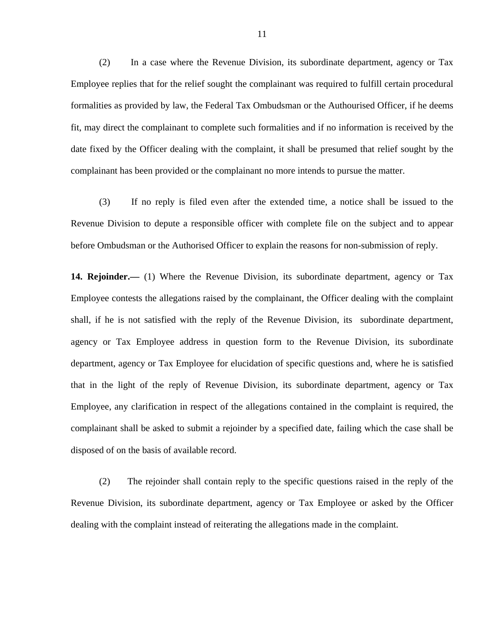(2) In a case where the Revenue Division, its subordinate department, agency or Tax Employee replies that for the relief sought the complainant was required to fulfill certain procedural formalities as provided by law, the Federal Tax Ombudsman or the Authourised Officer, if he deems fit, may direct the complainant to complete such formalities and if no information is received by the date fixed by the Officer dealing with the complaint, it shall be presumed that relief sought by the complainant has been provided or the complainant no more intends to pursue the matter.

(3) If no reply is filed even after the extended time, a notice shall be issued to the Revenue Division to depute a responsible officer with complete file on the subject and to appear before Ombudsman or the Authorised Officer to explain the reasons for non-submission of reply.

**14. Rejoinder.—** (1) Where the Revenue Division, its subordinate department, agency or Tax Employee contests the allegations raised by the complainant, the Officer dealing with the complaint shall, if he is not satisfied with the reply of the Revenue Division, its subordinate department, agency or Tax Employee address in question form to the Revenue Division, its subordinate department, agency or Tax Employee for elucidation of specific questions and, where he is satisfied that in the light of the reply of Revenue Division, its subordinate department, agency or Tax Employee, any clarification in respect of the allegations contained in the complaint is required, the complainant shall be asked to submit a rejoinder by a specified date, failing which the case shall be disposed of on the basis of available record.

(2) The rejoinder shall contain reply to the specific questions raised in the reply of the Revenue Division, its subordinate department, agency or Tax Employee or asked by the Officer dealing with the complaint instead of reiterating the allegations made in the complaint.

11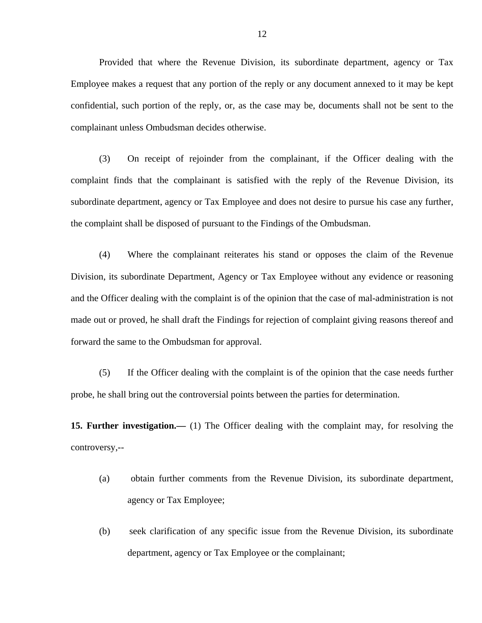Provided that where the Revenue Division, its subordinate department, agency or Tax Employee makes a request that any portion of the reply or any document annexed to it may be kept confidential, such portion of the reply, or, as the case may be, documents shall not be sent to the complainant unless Ombudsman decides otherwise.

(3) On receipt of rejoinder from the complainant, if the Officer dealing with the complaint finds that the complainant is satisfied with the reply of the Revenue Division, its subordinate department, agency or Tax Employee and does not desire to pursue his case any further, the complaint shall be disposed of pursuant to the Findings of the Ombudsman.

(4) Where the complainant reiterates his stand or opposes the claim of the Revenue Division, its subordinate Department, Agency or Tax Employee without any evidence or reasoning and the Officer dealing with the complaint is of the opinion that the case of mal-administration is not made out or proved, he shall draft the Findings for rejection of complaint giving reasons thereof and forward the same to the Ombudsman for approval.

(5) If the Officer dealing with the complaint is of the opinion that the case needs further probe, he shall bring out the controversial points between the parties for determination.

**15. Further investigation.—** (1) The Officer dealing with the complaint may, for resolving the controversy,--

- (a) obtain further comments from the Revenue Division, its subordinate department, agency or Tax Employee;
- (b) seek clarification of any specific issue from the Revenue Division, its subordinate department, agency or Tax Employee or the complainant;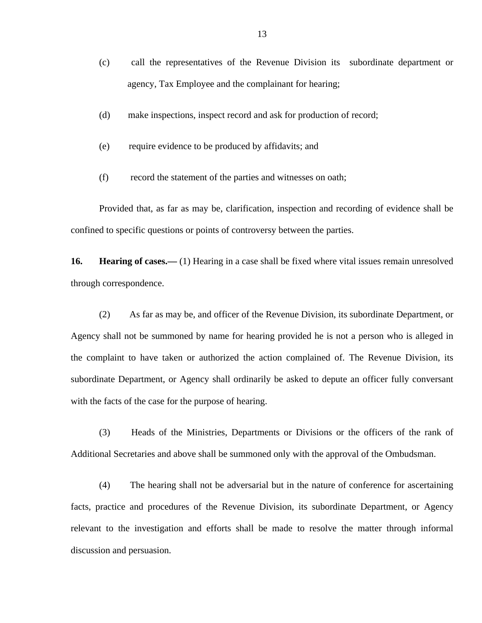- (c) call the representatives of the Revenue Division its subordinate department or agency, Tax Employee and the complainant for hearing;
- (d) make inspections, inspect record and ask for production of record;
- (e) require evidence to be produced by affidavits; and
- (f) record the statement of the parties and witnesses on oath;

Provided that, as far as may be, clarification, inspection and recording of evidence shall be confined to specific questions or points of controversy between the parties.

**16. Hearing of cases.—** (1) Hearing in a case shall be fixed where vital issues remain unresolved through correspondence.

(2) As far as may be, and officer of the Revenue Division, its subordinate Department, or Agency shall not be summoned by name for hearing provided he is not a person who is alleged in the complaint to have taken or authorized the action complained of. The Revenue Division, its subordinate Department, or Agency shall ordinarily be asked to depute an officer fully conversant with the facts of the case for the purpose of hearing.

(3) Heads of the Ministries, Departments or Divisions or the officers of the rank of Additional Secretaries and above shall be summoned only with the approval of the Ombudsman.

(4) The hearing shall not be adversarial but in the nature of conference for ascertaining facts, practice and procedures of the Revenue Division, its subordinate Department, or Agency relevant to the investigation and efforts shall be made to resolve the matter through informal discussion and persuasion.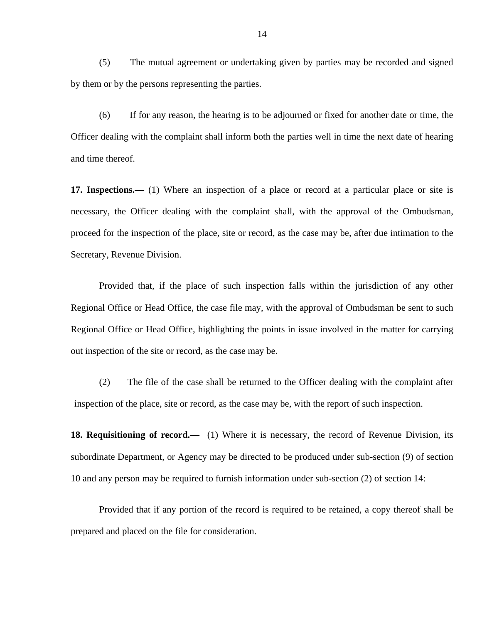(5) The mutual agreement or undertaking given by parties may be recorded and signed by them or by the persons representing the parties.

(6) If for any reason, the hearing is to be adjourned or fixed for another date or time, the Officer dealing with the complaint shall inform both the parties well in time the next date of hearing and time thereof.

**17. Inspections.—** (1) Where an inspection of a place or record at a particular place or site is necessary, the Officer dealing with the complaint shall, with the approval of the Ombudsman, proceed for the inspection of the place, site or record, as the case may be, after due intimation to the Secretary, Revenue Division.

Provided that, if the place of such inspection falls within the jurisdiction of any other Regional Office or Head Office, the case file may, with the approval of Ombudsman be sent to such Regional Office or Head Office, highlighting the points in issue involved in the matter for carrying out inspection of the site or record, as the case may be.

(2) The file of the case shall be returned to the Officer dealing with the complaint after inspection of the place, site or record, as the case may be, with the report of such inspection.

**18. Requisitioning of record.—** (1) Where it is necessary, the record of Revenue Division, its subordinate Department, or Agency may be directed to be produced under sub-section (9) of section 10 and any person may be required to furnish information under sub-section (2) of section 14:

Provided that if any portion of the record is required to be retained, a copy thereof shall be prepared and placed on the file for consideration.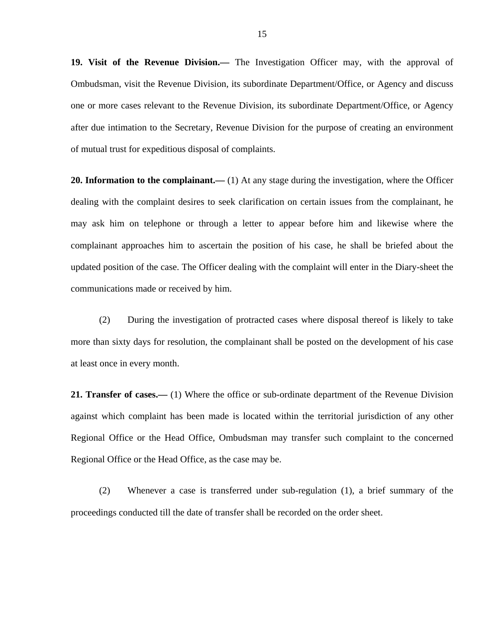**19. Visit of the Revenue Division.—** The Investigation Officer may, with the approval of Ombudsman, visit the Revenue Division, its subordinate Department/Office, or Agency and discuss one or more cases relevant to the Revenue Division, its subordinate Department/Office, or Agency after due intimation to the Secretary, Revenue Division for the purpose of creating an environment of mutual trust for expeditious disposal of complaints.

**20. Information to the complainant.—** (1) At any stage during the investigation, where the Officer dealing with the complaint desires to seek clarification on certain issues from the complainant, he may ask him on telephone or through a letter to appear before him and likewise where the complainant approaches him to ascertain the position of his case, he shall be briefed about the updated position of the case. The Officer dealing with the complaint will enter in the Diary-sheet the communications made or received by him.

(2) During the investigation of protracted cases where disposal thereof is likely to take more than sixty days for resolution, the complainant shall be posted on the development of his case at least once in every month.

**21. Transfer of cases.—** (1) Where the office or sub-ordinate department of the Revenue Division against which complaint has been made is located within the territorial jurisdiction of any other Regional Office or the Head Office, Ombudsman may transfer such complaint to the concerned Regional Office or the Head Office, as the case may be.

(2) Whenever a case is transferred under sub-regulation (1), a brief summary of the proceedings conducted till the date of transfer shall be recorded on the order sheet.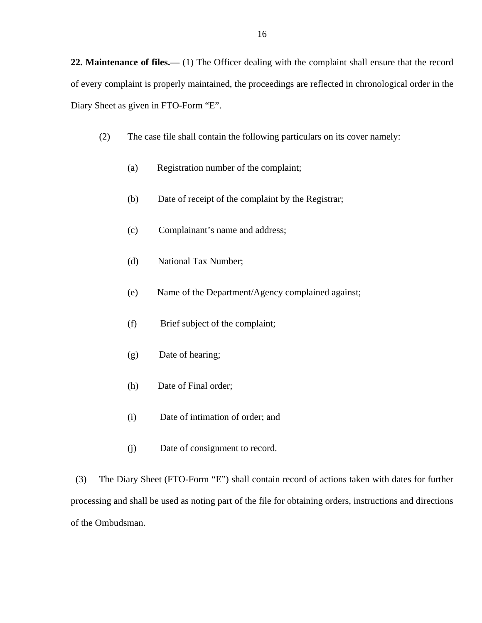**22. Maintenance of files.—** (1) The Officer dealing with the complaint shall ensure that the record of every complaint is properly maintained, the proceedings are reflected in chronological order in the Diary Sheet as given in FTO-Form "E".

- (2) The case file shall contain the following particulars on its cover namely:
	- (a) Registration number of the complaint;
	- (b) Date of receipt of the complaint by the Registrar;
	- (c) Complainant's name and address;
	- (d) National Tax Number;
	- (e) Name of the Department/Agency complained against;
	- (f) Brief subject of the complaint;
	- (g) Date of hearing;
	- (h) Date of Final order;
	- (i) Date of intimation of order; and
	- (j) Date of consignment to record.

 (3) The Diary Sheet (FTO-Form "E") shall contain record of actions taken with dates for further processing and shall be used as noting part of the file for obtaining orders, instructions and directions of the Ombudsman.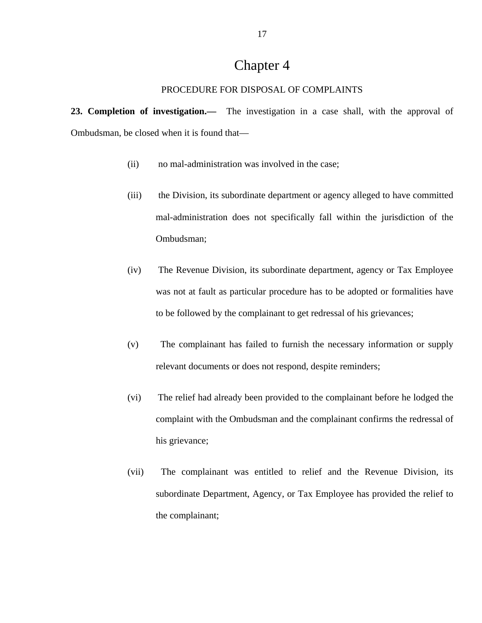# Chapter 4

#### PROCEDURE FOR DISPOSAL OF COMPLAINTS

**23. Completion of investigation.—** The investigation in a case shall, with the approval of Ombudsman, be closed when it is found that—

- (ii) no mal-administration was involved in the case;
- (iii) the Division, its subordinate department or agency alleged to have committed mal-administration does not specifically fall within the jurisdiction of the Ombudsman;
- (iv) The Revenue Division, its subordinate department, agency or Tax Employee was not at fault as particular procedure has to be adopted or formalities have to be followed by the complainant to get redressal of his grievances;
- (v) The complainant has failed to furnish the necessary information or supply relevant documents or does not respond, despite reminders;
- (vi) The relief had already been provided to the complainant before he lodged the complaint with the Ombudsman and the complainant confirms the redressal of his grievance;
- (vii) The complainant was entitled to relief and the Revenue Division, its subordinate Department, Agency, or Tax Employee has provided the relief to the complainant;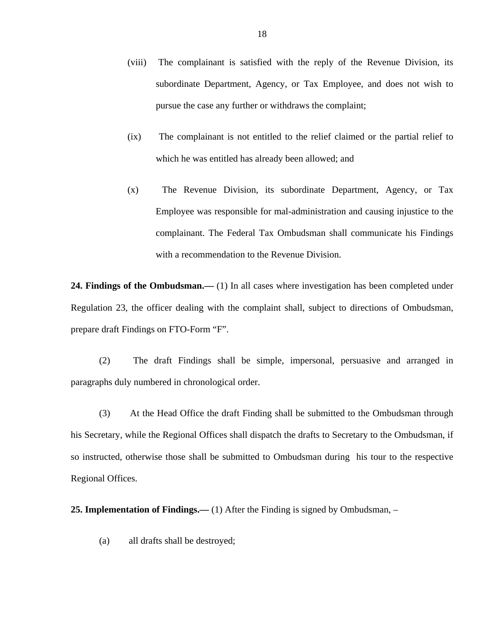- (viii) The complainant is satisfied with the reply of the Revenue Division, its subordinate Department, Agency, or Tax Employee, and does not wish to pursue the case any further or withdraws the complaint;
- (ix) The complainant is not entitled to the relief claimed or the partial relief to which he was entitled has already been allowed; and
- (x) The Revenue Division, its subordinate Department, Agency, or Tax Employee was responsible for mal-administration and causing injustice to the complainant. The Federal Tax Ombudsman shall communicate his Findings with a recommendation to the Revenue Division.

24. Findings of the Ombudsman.— (1) In all cases where investigation has been completed under Regulation 23, the officer dealing with the complaint shall, subject to directions of Ombudsman, prepare draft Findings on FTO-Form "F".

(2) The draft Findings shall be simple, impersonal, persuasive and arranged in paragraphs duly numbered in chronological order.

(3) At the Head Office the draft Finding shall be submitted to the Ombudsman through his Secretary, while the Regional Offices shall dispatch the drafts to Secretary to the Ombudsman, if so instructed, otherwise those shall be submitted to Ombudsman during his tour to the respective Regional Offices.

**25. Implementation of Findings.—** (1) After the Finding is signed by Ombudsman, –

(a) all drafts shall be destroyed;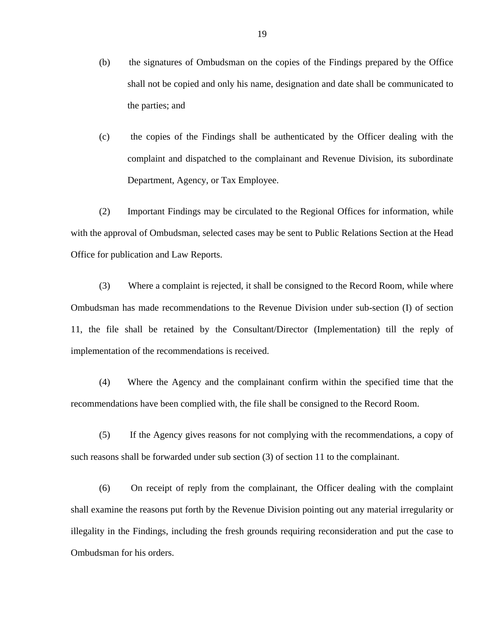- (b) the signatures of Ombudsman on the copies of the Findings prepared by the Office shall not be copied and only his name, designation and date shall be communicated to the parties; and
- (c) the copies of the Findings shall be authenticated by the Officer dealing with the complaint and dispatched to the complainant and Revenue Division, its subordinate Department, Agency, or Tax Employee.

(2) Important Findings may be circulated to the Regional Offices for information, while with the approval of Ombudsman, selected cases may be sent to Public Relations Section at the Head Office for publication and Law Reports.

(3) Where a complaint is rejected, it shall be consigned to the Record Room, while where Ombudsman has made recommendations to the Revenue Division under sub-section (I) of section 11, the file shall be retained by the Consultant/Director (Implementation) till the reply of implementation of the recommendations is received.

(4) Where the Agency and the complainant confirm within the specified time that the recommendations have been complied with, the file shall be consigned to the Record Room.

(5) If the Agency gives reasons for not complying with the recommendations, a copy of such reasons shall be forwarded under sub section (3) of section 11 to the complainant.

(6) On receipt of reply from the complainant, the Officer dealing with the complaint shall examine the reasons put forth by the Revenue Division pointing out any material irregularity or illegality in the Findings, including the fresh grounds requiring reconsideration and put the case to Ombudsman for his orders.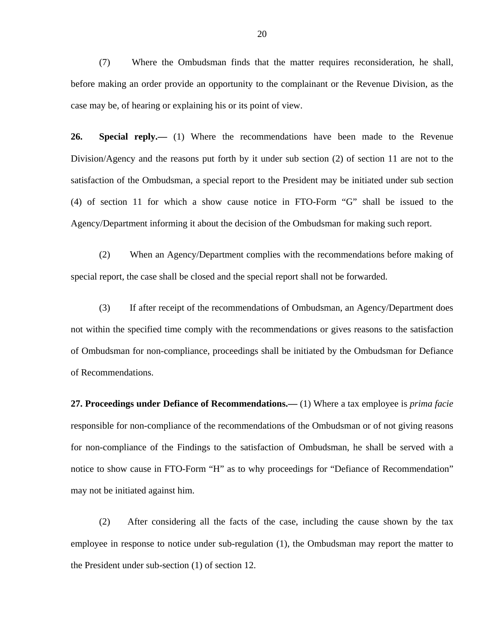(7) Where the Ombudsman finds that the matter requires reconsideration, he shall, before making an order provide an opportunity to the complainant or the Revenue Division, as the case may be, of hearing or explaining his or its point of view.

**26. Special reply.—** (1) Where the recommendations have been made to the Revenue Division/Agency and the reasons put forth by it under sub section (2) of section 11 are not to the satisfaction of the Ombudsman, a special report to the President may be initiated under sub section (4) of section 11 for which a show cause notice in FTO-Form "G" shall be issued to the Agency/Department informing it about the decision of the Ombudsman for making such report.

(2) When an Agency/Department complies with the recommendations before making of special report, the case shall be closed and the special report shall not be forwarded.

(3) If after receipt of the recommendations of Ombudsman, an Agency/Department does not within the specified time comply with the recommendations or gives reasons to the satisfaction of Ombudsman for non-compliance, proceedings shall be initiated by the Ombudsman for Defiance of Recommendations.

**27. Proceedings under Defiance of Recommendations.—** (1) Where a tax employee is *prima facie* responsible for non-compliance of the recommendations of the Ombudsman or of not giving reasons for non-compliance of the Findings to the satisfaction of Ombudsman, he shall be served with a notice to show cause in FTO-Form "H" as to why proceedings for "Defiance of Recommendation" may not be initiated against him.

(2) After considering all the facts of the case, including the cause shown by the tax employee in response to notice under sub-regulation (1), the Ombudsman may report the matter to the President under sub-section (1) of section 12.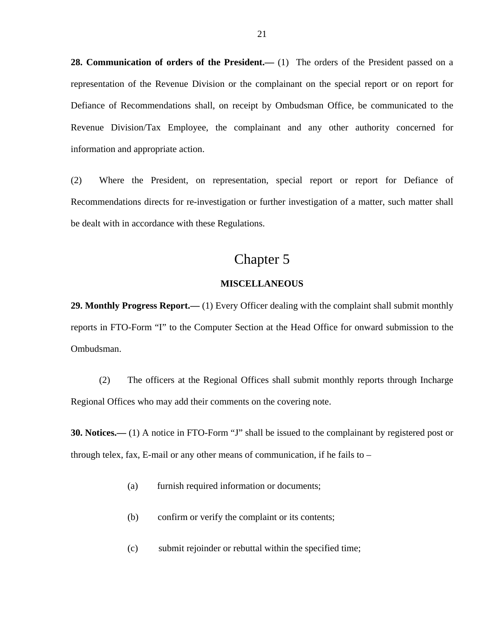**28. Communication of orders of the President.—** (1) The orders of the President passed on a representation of the Revenue Division or the complainant on the special report or on report for Defiance of Recommendations shall, on receipt by Ombudsman Office, be communicated to the Revenue Division/Tax Employee, the complainant and any other authority concerned for information and appropriate action.

(2) Where the President, on representation, special report or report for Defiance of Recommendations directs for re-investigation or further investigation of a matter, such matter shall be dealt with in accordance with these Regulations.

## Chapter 5

### **MISCELLANEOUS**

**29. Monthly Progress Report.—** (1) Every Officer dealing with the complaint shall submit monthly reports in FTO-Form "I" to the Computer Section at the Head Office for onward submission to the Ombudsman.

(2) The officers at the Regional Offices shall submit monthly reports through Incharge Regional Offices who may add their comments on the covering note.

**30. Notices.—** (1) A notice in FTO-Form "J" shall be issued to the complainant by registered post or through telex, fax, E-mail or any other means of communication, if he fails to –

- (a) furnish required information or documents;
- (b) confirm or verify the complaint or its contents;
- (c) submit rejoinder or rebuttal within the specified time;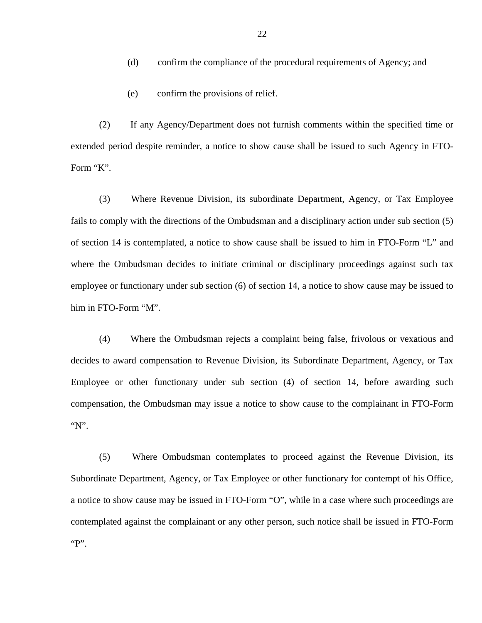- (d) confirm the compliance of the procedural requirements of Agency; and
- (e) confirm the provisions of relief.

(2) If any Agency/Department does not furnish comments within the specified time or extended period despite reminder, a notice to show cause shall be issued to such Agency in FTO-Form "K".

(3) Where Revenue Division, its subordinate Department, Agency, or Tax Employee fails to comply with the directions of the Ombudsman and a disciplinary action under sub section (5) of section 14 is contemplated, a notice to show cause shall be issued to him in FTO-Form "L" and where the Ombudsman decides to initiate criminal or disciplinary proceedings against such tax employee or functionary under sub section (6) of section 14, a notice to show cause may be issued to him in FTO-Form "M".

(4) Where the Ombudsman rejects a complaint being false, frivolous or vexatious and decides to award compensation to Revenue Division, its Subordinate Department, Agency, or Tax Employee or other functionary under sub section (4) of section 14, before awarding such compensation, the Ombudsman may issue a notice to show cause to the complainant in FTO-Form "N".

(5) Where Ombudsman contemplates to proceed against the Revenue Division, its Subordinate Department, Agency, or Tax Employee or other functionary for contempt of his Office, a notice to show cause may be issued in FTO-Form "O", while in a case where such proceedings are contemplated against the complainant or any other person, such notice shall be issued in FTO-Form " $P$ ".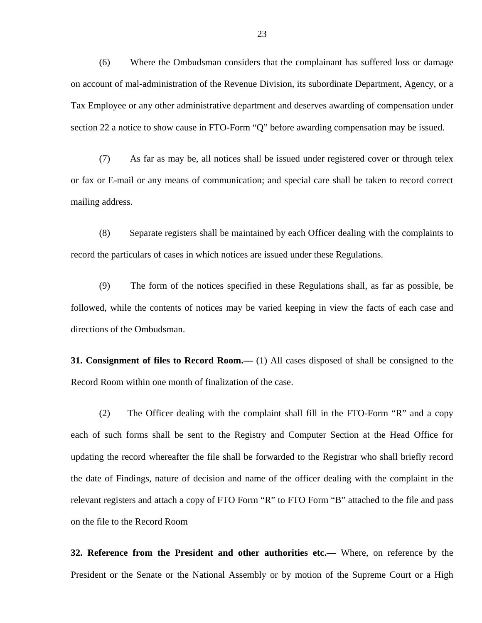(6) Where the Ombudsman considers that the complainant has suffered loss or damage on account of mal-administration of the Revenue Division, its subordinate Department, Agency, or a Tax Employee or any other administrative department and deserves awarding of compensation under section 22 a notice to show cause in FTO-Form "Q" before awarding compensation may be issued.

(7) As far as may be, all notices shall be issued under registered cover or through telex or fax or E-mail or any means of communication; and special care shall be taken to record correct mailing address.

(8) Separate registers shall be maintained by each Officer dealing with the complaints to record the particulars of cases in which notices are issued under these Regulations.

(9) The form of the notices specified in these Regulations shall, as far as possible, be followed, while the contents of notices may be varied keeping in view the facts of each case and directions of the Ombudsman.

**31. Consignment of files to Record Room.—** (1) All cases disposed of shall be consigned to the Record Room within one month of finalization of the case.

(2) The Officer dealing with the complaint shall fill in the FTO-Form "R" and a copy each of such forms shall be sent to the Registry and Computer Section at the Head Office for updating the record whereafter the file shall be forwarded to the Registrar who shall briefly record the date of Findings, nature of decision and name of the officer dealing with the complaint in the relevant registers and attach a copy of FTO Form "R" to FTO Form "B" attached to the file and pass on the file to the Record Room

**32. Reference from the President and other authorities etc.—** Where, on reference by the President or the Senate or the National Assembly or by motion of the Supreme Court or a High